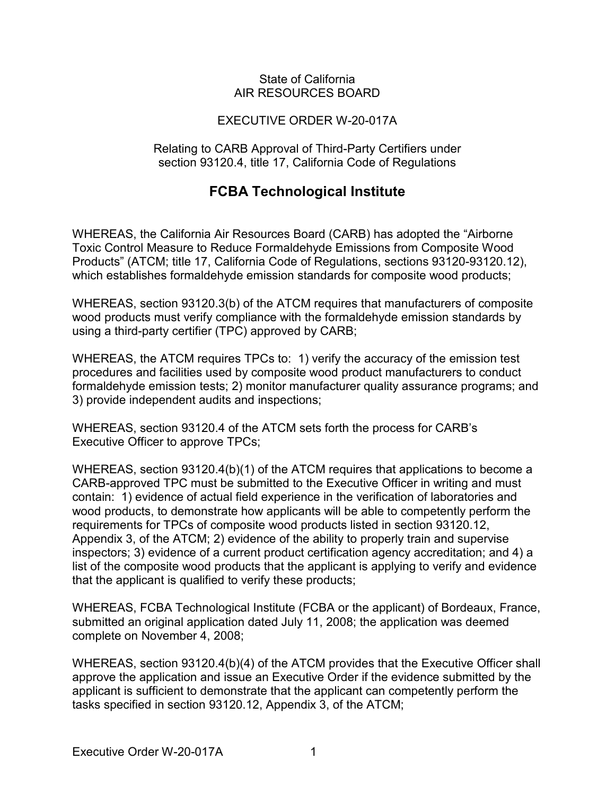#### State of California AIR RESOURCES BOARD

## EXECUTIVE ORDER W-20-017A

Relating to CARB Approval of Third-Party Certifiers under section 93120.4, title 17, California Code of Regulations

# **FCBA Technological Institute**

 which establishes formaldehyde emission standards for composite wood products; WHEREAS, the California Air Resources Board (CARB) has adopted the "Airborne Toxic Control Measure to Reduce Formaldehyde Emissions from Composite Wood Products" (ATCM; title 17, California Code of Regulations, sections [93120-93120.12\)](https://93120-93120.12),

 using a third-party certifier (TPC) approved by CARB; WHEREAS, section 93120.3(b) of the ATCM requires that manufacturers of composite wood products must verify compliance with the formaldehyde emission standards by

 WHEREAS, the ATCM requires TPCs to: 1) verify the accuracy of the emission test procedures and facilities used by composite wood product manufacturers to conduct formaldehyde emission tests; 2) monitor manufacturer quality assurance programs; and 3) provide independent audits and inspections;

 WHEREAS, section 93120.4 of the ATCM sets forth the process for CARB's Executive Officer to approve TPCs;

 CARB-approved TPC must be submitted to the Executive Officer in writing and must contain: 1) evidence of actual field experience in the verification of laboratories and that the applicant is qualified to verify these products; WHEREAS, section 93120.4(b)(1) of the ATCM requires that applications to become a wood products, to demonstrate how applicants will be able to competently perform the requirements for TPCs of composite wood products listed in section [93120.12](https://93120.12), Appendix 3, of the ATCM; 2) evidence of the ability to properly train and supervise inspectors; 3) evidence of a current product certification agency accreditation; and 4) a list of the composite wood products that the applicant is applying to verify and evidence

WHEREAS, FCBA Technological Institute (FCBA or the applicant) of Bordeaux, France, submitted an original application dated July 11, 2008; the application was deemed complete on November 4, 2008;

 tasks specified in section [93120.12](https://93120.12), Appendix 3, of the ATCM; WHEREAS, section 93120.4(b)(4) of the ATCM provides that the Executive Officer shall approve the application and issue an Executive Order if the evidence submitted by the applicant is sufficient to demonstrate that the applicant can competently perform the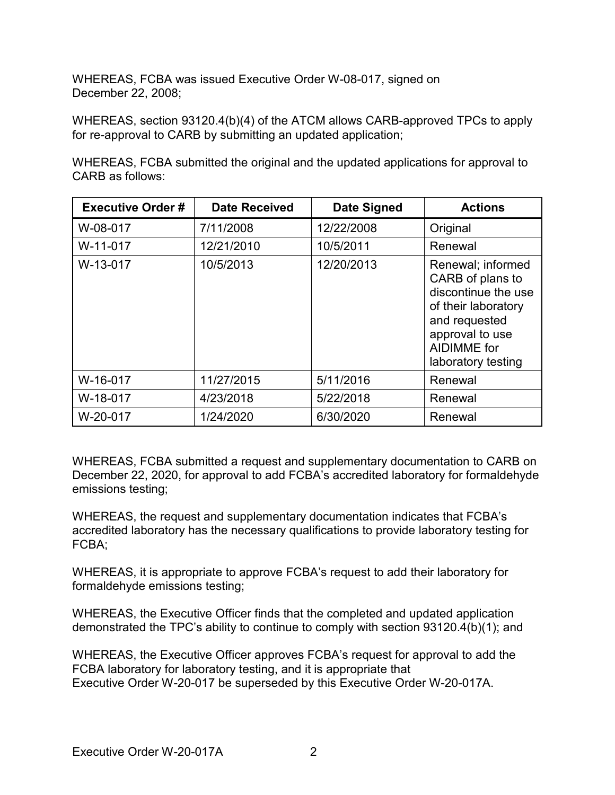WHEREAS, FCBA was issued Executive Order W-08-017, signed on December 22, 2008;

 WHEREAS, section 93120.4(b)(4) of the ATCM allows CARB-approved TPCs to apply for re-approval to CARB by submitting an updated application;

WHEREAS, FCBA submitted the original and the updated applications for approval to CARB as follows:

| <b>Executive Order#</b> | <b>Date Received</b> | Date Signed | <b>Actions</b>                                                                                                                                                      |
|-------------------------|----------------------|-------------|---------------------------------------------------------------------------------------------------------------------------------------------------------------------|
| W-08-017                | 7/11/2008            | 12/22/2008  | Original                                                                                                                                                            |
| W-11-017                | 12/21/2010           | 10/5/2011   | Renewal                                                                                                                                                             |
| W-13-017                | 10/5/2013            | 12/20/2013  | Renewal; informed<br>CARB of plans to<br>discontinue the use<br>of their laboratory<br>and requested<br>approval to use<br><b>AIDIMME</b> for<br>laboratory testing |
| W-16-017                | 11/27/2015           | 5/11/2016   | Renewal                                                                                                                                                             |
| W-18-017                | 4/23/2018            | 5/22/2018   | Renewal                                                                                                                                                             |
| W-20-017                | 1/24/2020            | 6/30/2020   | Renewal                                                                                                                                                             |

WHEREAS, FCBA submitted a request and supplementary documentation to CARB on December 22, 2020, for approval to add FCBA's accredited laboratory for formaldehyde emissions testing;

WHEREAS, the request and supplementary documentation indicates that FCBA's accredited laboratory has the necessary qualifications to provide laboratory testing for FCBA;

 formaldehyde emissions testing; WHEREAS, it is appropriate to approve FCBA's request to add their laboratory for

 demonstrated the TPC's ability to continue to comply with section 93120.4(b)(1); and WHEREAS, the Executive Officer finds that the completed and updated application

 Executive Order W-20-017 be superseded by this Executive Order W-20-017A. WHEREAS, the Executive Officer approves FCBA's request for approval to add the FCBA laboratory for laboratory testing, and it is appropriate that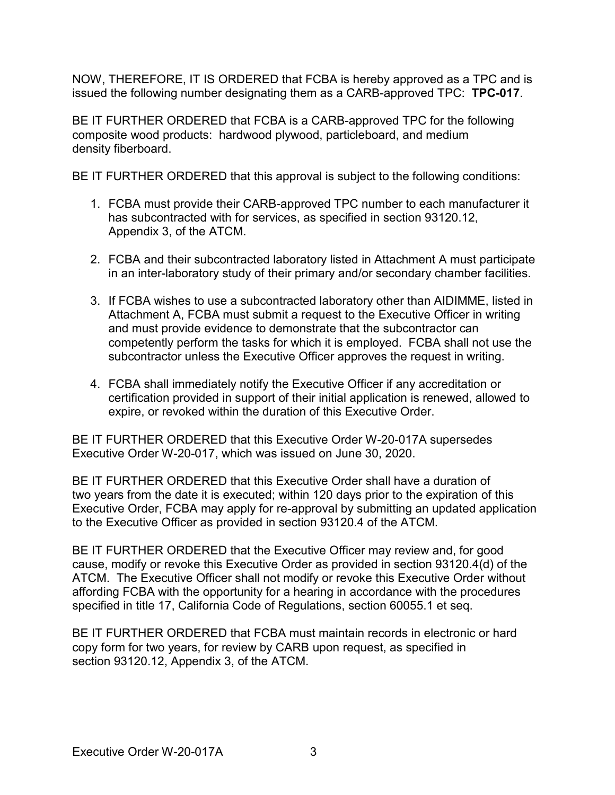NOW, THEREFORE, IT IS ORDERED that FCBA is hereby approved as a TPC and is issued the following number designating them as a CARB-approved TPC: **TPC-017**.

 BE IT FURTHER ORDERED that FCBA is a CARB-approved TPC for the following composite wood products: hardwood plywood, particleboard, and medium density fiberboard.

density fiberboard.<br>BE IT FURTHER ORDERED that this approval is subject to the following conditions:

- 1. FCBA must provide their CARB-approved TPC number to each manufacturer it Appendix 3, of the ATCM. has subcontracted with for services, as specified in section [93120.12,](https://93120.12)
- 2. FCBA and their subcontracted laboratory listed in Attachment A must participate in an inter-laboratory study of their primary and/or secondary chamber facilities.
- Attachment A, FCBA must submit a request to the Executive Officer in writing competently perform the tasks for which it is employed. FCBA shall not use the 3. If FCBA wishes to use a subcontracted laboratory other than AIDIMME, listed in and must provide evidence to demonstrate that the subcontractor can subcontractor unless the Executive Officer approves the request in writing.
- 4. FCBA shall immediately notify the Executive Officer if any accreditation or expire, or revoked within the duration of this Executive Order. certification provided in support of their initial application is renewed, allowed to

 BE IT FURTHER ORDERED that this Executive Order W-20-017A supersedes Executive Order W-20-017, which was issued on June 30, 2020.

 to the Executive Officer as provided in section 93120.4 of the ATCM. BE IT FURTHER ORDERED that this Executive Order shall have a duration of two years from the date it is executed; within 120 days prior to the expiration of this Executive Order, FCBA may apply for re-approval by submitting an updated application

 ATCM. The Executive Officer shall not modify or revoke this Executive Order without specified in title 17, California Code of Regulations, section 60055.1 et seq. BE IT FURTHER ORDERED that the Executive Officer may review and, for good cause, modify or revoke this Executive Order as provided in section 93120.4(d) of the affording FCBA with the opportunity for a hearing in accordance with the procedures

 copy form for two years, for review by CARB upon request, as specified in section [93120.12,](https://93120.12) Appendix 3, of the ATCM. BE IT FURTHER ORDERED that FCBA must maintain records in electronic or hard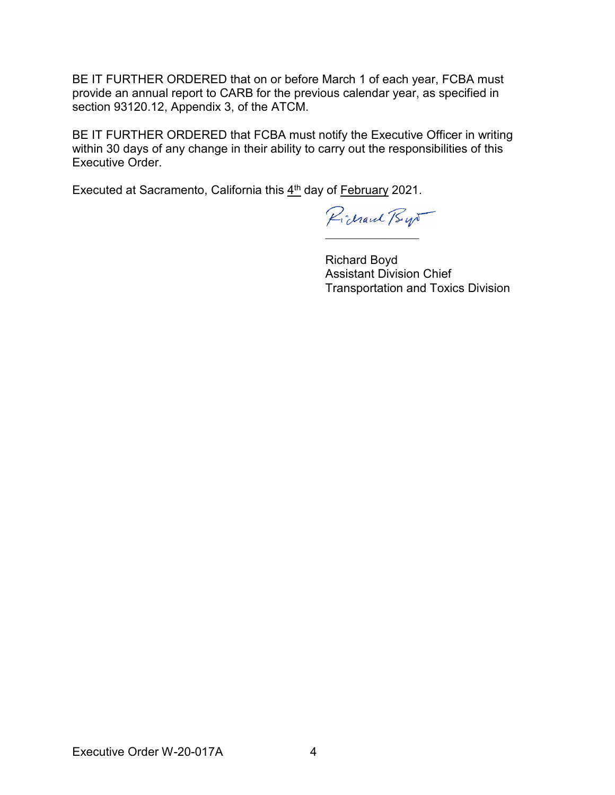BE IT FURTHER ORDERED that on or before March 1 of each year, FCBA must section [93120.12,](https://93120.12) Appendix 3, of the ATCM. provide an annual report to CARB for the previous calendar year, as specified in

 BE IT FURTHER ORDERED that FCBA must notify the Executive Officer in writing within 30 days of any change in their ability to carry out the responsibilities of this Executive Order.

Executed at Sacramento, California this 4<sup>th</sup> day of <u>February</u> 2021.

Pichard Bys  $\_$ 

Richard Boyd Assistant Division Chief Transportation and Toxics Division